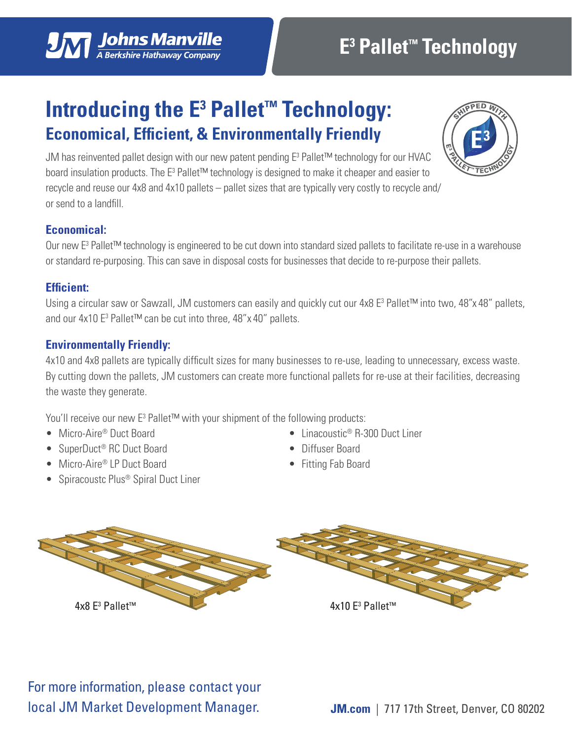# **Introducing the E<sup>3</sup> Pallet™ Technology: Economical, Efficient, & Environmentally Friendly**

JM has reinvented pallet design with our new patent pending E3 Pallet™ technology for our HVAC board insulation products. The E<sup>3</sup> Pallet™ technology is designed to make it cheaper and easier to recycle and reuse our 4x8 and 4x10 pallets – pallet sizes that are typically very costly to recycle and/ or send to a landfill.

## **Economical:**

Our new E<sup>3</sup> Pallet™ technology is engineered to be cut down into standard sized pallets to facilitate re-use in a warehouse or standard re-purposing. This can save in disposal costs for businesses that decide to re-purpose their pallets.

#### **Efficient:**

Using a circular saw or Sawzall, JM customers can easily and quickly cut our 4x8 E<sup>3</sup> Pallet™ into two, 48"x 48" pallets, and our 4x10 E<sup>3</sup> Pallet™ can be cut into three, 48"x 40" pallets.

### **Environmentally Friendly:**

4x10 and 4x8 pallets are typically difficult sizes for many businesses to re-use, leading to unnecessary, excess waste. By cutting down the pallets, JM customers can create more functional pallets for re-use at their facilities, decreasing the waste they generate.

You'll receive our new E<sup>3</sup> Pallet™ with your shipment of the following products:

- Micro-Aire® Duct Board
- SuperDuct<sup>®</sup> RC Duct Board
- Micro-Aire® LP Duct Board
- Spiracoustc Plus<sup>®</sup> Spiral Duct Liner

For more information, please contact your

local JM Market Development Manager.

- Linacoustic<sup>®</sup> R-300 Duct Liner
- Diffuser Board
- Fitting Fab Board